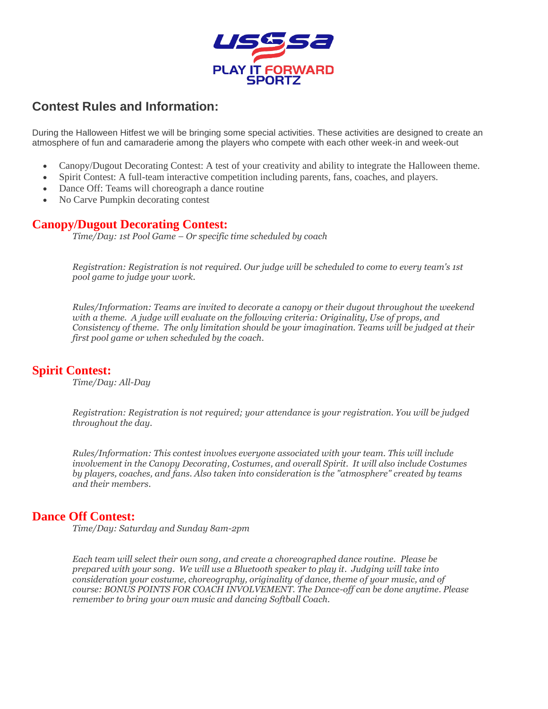

# **Contest Rules and Information:**

During the Halloween Hitfest we will be bringing some special activities. These activities are designed to create an atmosphere of fun and camaraderie among the players who compete with each other week-in and week-out

- Canopy/Dugout Decorating Contest: A test of your creativity and ability to integrate the Halloween theme.
- Spirit Contest: A full-team interactive competition including parents, fans, coaches, and players.
- Dance Off: Teams will choreograph a dance routine
- No Carve Pumpkin decorating contest

#### **Canopy/Dugout Decorating Contest:**

*Time/Day: 1st Pool Game – Or specific time scheduled by coach*

*Registration: Registration is not required. Our judge will be scheduled to come to every team's 1st pool game to judge your work.*

*Rules/Information: Teams are invited to decorate a canopy or their dugout throughout the weekend with a theme. A judge will evaluate on the following criteria: Originality, Use of props, and Consistency of theme. The only limitation should be your imagination. Teams will be judged at their first pool game or when scheduled by the coach.*

#### **Spirit Contest:**

*Time/Day: All-Day* 

*Registration: Registration is not required; your attendance is your registration. You will be judged throughout the day.*

*Rules/Information: This contest involves everyone associated with your team. This will include involvement in the Canopy Decorating, Costumes, and overall Spirit. It will also include Costumes by players, coaches, and fans. Also taken into consideration is the "atmosphere" created by teams and their members.*

#### **Dance Off Contest:**

*Time/Day: Saturday and Sunday 8am-2pm*

*Each team will select their own song, and create a choreographed dance routine. Please be prepared with your song. We will use a Bluetooth speaker to play it. Judging will take into consideration your costume, choreography, originality of dance, theme of your music, and of course: BONUS POINTS FOR COACH INVOLVEMENT. The Dance-off can be done anytime. Please remember to bring your own music and dancing Softball Coach.*